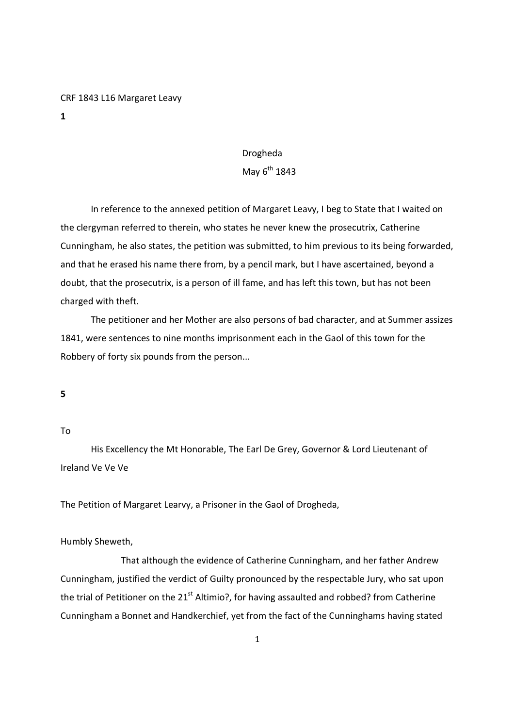#### CRF 1843 L16 Margaret Leavy

1

# Drogheda

## May  $6^{th}$  1843

 In reference to the annexed petition of Margaret Leavy, I beg to State that I waited on the clergyman referred to therein, who states he never knew the prosecutrix, Catherine Cunningham, he also states, the petition was submitted, to him previous to its being forwarded, and that he erased his name there from, by a pencil mark, but I have ascertained, beyond a doubt, that the prosecutrix, is a person of ill fame, and has left this town, but has not been charged with theft.

 The petitioner and her Mother are also persons of bad character, and at Summer assizes 1841, were sentences to nine months imprisonment each in the Gaol of this town for the Robbery of forty six pounds from the person...

5

## To

 His Excellency the Mt Honorable, The Earl De Grey, Governor & Lord Lieutenant of Ireland Ve Ve Ve

The Petition of Margaret Learvy, a Prisoner in the Gaol of Drogheda,

#### Humbly Sheweth,

 That although the evidence of Catherine Cunningham, and her father Andrew Cunningham, justified the verdict of Guilty pronounced by the respectable Jury, who sat upon the trial of Petitioner on the  $21<sup>st</sup>$  Altimio?, for having assaulted and robbed? from Catherine Cunningham a Bonnet and Handkerchief, yet from the fact of the Cunninghams having stated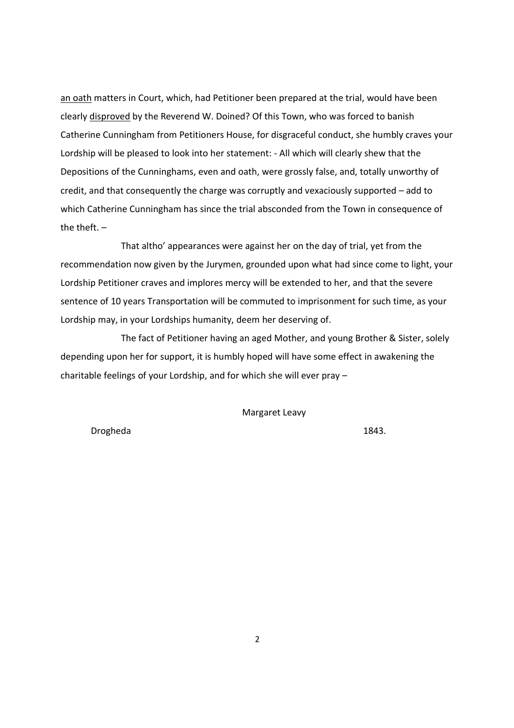an oath matters in Court, which, had Petitioner been prepared at the trial, would have been clearly disproved by the Reverend W. Doined? Of this Town, who was forced to banish Catherine Cunningham from Petitioners House, for disgraceful conduct, she humbly craves your Lordship will be pleased to look into her statement: - All which will clearly shew that the Depositions of the Cunninghams, even and oath, were grossly false, and, totally unworthy of credit, and that consequently the charge was corruptly and vexaciously supported – add to which Catherine Cunningham has since the trial absconded from the Town in consequence of the theft.  $-$ 

 That altho' appearances were against her on the day of trial, yet from the recommendation now given by the Jurymen, grounded upon what had since come to light, your Lordship Petitioner craves and implores mercy will be extended to her, and that the severe sentence of 10 years Transportation will be commuted to imprisonment for such time, as your Lordship may, in your Lordships humanity, deem her deserving of.

 The fact of Petitioner having an aged Mother, and young Brother & Sister, solely depending upon her for support, it is humbly hoped will have some effect in awakening the charitable feelings of your Lordship, and for which she will ever pray –

Margaret Leavy

Drogheda 1843.